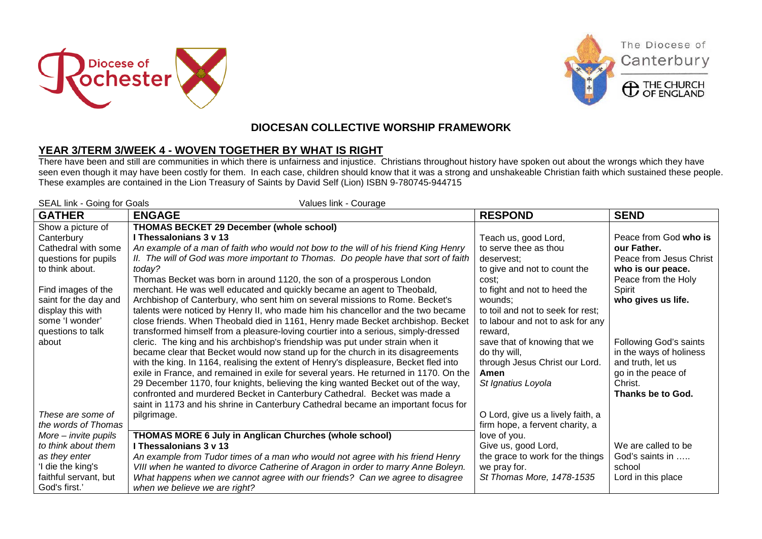





The Diocese of

Canterbury

## **DIOCESAN COLLECTIVE WORSHIP FRAMEWORK**

## **YEAR 3/TERM 3/WEEK 4 - WOVEN TOGETHER BY WHAT IS RIGHT**

There have been and still are communities in which there is unfairness and injustice. Christians throughout history have spoken out about the wrongs which they have seen even though it may have been costly for them. In each case, children should know that it was a strong and unshakeable Christian faith which sustained these people. These examples are contained in the Lion Treasury of Saints by David Self (Lion) ISBN 9-780745-944715

| SEAL link - Going for Goals<br>Values link - Courage |                                                                                       |                                                 |                         |  |
|------------------------------------------------------|---------------------------------------------------------------------------------------|-------------------------------------------------|-------------------------|--|
| <b>GATHER</b>                                        | <b>ENGAGE</b>                                                                         | <b>RESPOND</b>                                  | <b>SEND</b>             |  |
| Show a picture of                                    | <b>THOMAS BECKET 29 December (whole school)</b>                                       |                                                 |                         |  |
| Canterbury                                           | I Thessalonians 3 v 13                                                                | Teach us, good Lord,                            | Peace from God who is   |  |
| Cathedral with some                                  | An example of a man of faith who would not bow to the will of his friend King Henry   | to serve thee as thou                           | our Father.             |  |
| questions for pupils                                 | II. The will of God was more important to Thomas. Do people have that sort of faith   | deservest:                                      | Peace from Jesus Christ |  |
| to think about.                                      | today?                                                                                | to give and not to count the                    | who is our peace.       |  |
|                                                      | Thomas Becket was born in around 1120, the son of a prosperous London                 | cost:                                           | Peace from the Holy     |  |
| Find images of the                                   | merchant. He was well educated and quickly became an agent to Theobald,               | to fight and not to heed the                    | Spirit                  |  |
| saint for the day and                                | Archbishop of Canterbury, who sent him on several missions to Rome. Becket's          | wounds;                                         | who gives us life.      |  |
| display this with                                    | talents were noticed by Henry II, who made him his chancellor and the two became      | to toil and not to seek for rest;               |                         |  |
| some 'I wonder'                                      | close friends. When Theobald died in 1161, Henry made Becket archbishop. Becket       | to labour and not to ask for any                |                         |  |
| questions to talk                                    | transformed himself from a pleasure-loving courtier into a serious, simply-dressed    | reward,                                         |                         |  |
| about                                                | cleric. The king and his archbishop's friendship was put under strain when it         | save that of knowing that we                    | Following God's saints  |  |
|                                                      | became clear that Becket would now stand up for the church in its disagreements       | do thy will,                                    | in the ways of holiness |  |
|                                                      | with the king. In 1164, realising the extent of Henry's displeasure, Becket fled into | through Jesus Christ our Lord.                  | and truth, let us       |  |
|                                                      | exile in France, and remained in exile for several years. He returned in 1170. On the | Amen                                            | go in the peace of      |  |
|                                                      | 29 December 1170, four knights, believing the king wanted Becket out of the way,      | St Ignatius Loyola                              | Christ.                 |  |
|                                                      | confronted and murdered Becket in Canterbury Cathedral. Becket was made a             |                                                 | Thanks be to God.       |  |
| These are some of                                    | saint in 1173 and his shrine in Canterbury Cathedral became an important focus for    |                                                 |                         |  |
| the words of Thomas                                  | pilgrimage.                                                                           | O Lord, give us a lively faith, a               |                         |  |
| $More - invite$ pupils                               | THOMAS MORE 6 July in Anglican Churches (whole school)                                | firm hope, a fervent charity, a<br>love of you. |                         |  |
| to think about them                                  | I Thessalonians 3 v 13                                                                | Give us, good Lord,                             | We are called to be     |  |
| as they enter                                        | An example from Tudor times of a man who would not agree with his friend Henry        | the grace to work for the things                | God's saints in         |  |
| 'I die the king's                                    | VIII when he wanted to divorce Catherine of Aragon in order to marry Anne Boleyn.     | we pray for.                                    | school                  |  |
| faithful servant, but                                | What happens when we cannot agree with our friends? Can we agree to disagree          | St Thomas More, 1478-1535                       | Lord in this place      |  |
| God's first.'                                        | when we believe we are right?                                                         |                                                 |                         |  |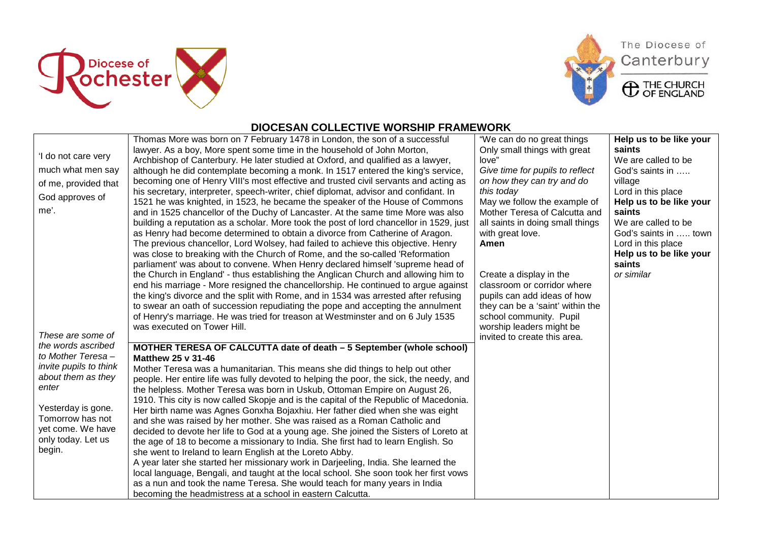







## **DIOCESAN COLLECTIVE WORSHIP FRAMEWORK**

|                        | Thomas More was born on 7 February 1478 in London, the son of a successful              | "We can do no great things       | Help us to be like your |
|------------------------|-----------------------------------------------------------------------------------------|----------------------------------|-------------------------|
|                        | lawyer. As a boy, More spent some time in the household of John Morton,                 | Only small things with great     | saints                  |
| 'I do not care very    | Archbishop of Canterbury. He later studied at Oxford, and qualified as a lawyer,        | love"                            | We are called to be     |
| much what men say      | although he did contemplate becoming a monk. In 1517 entered the king's service,        | Give time for pupils to reflect  | God's saints in         |
| of me, provided that   | becoming one of Henry VIII's most effective and trusted civil servants and acting as    | on how they can try and do       | village                 |
|                        | his secretary, interpreter, speech-writer, chief diplomat, advisor and confidant. In    | this today                       | Lord in this place      |
| God approves of        | 1521 he was knighted, in 1523, he became the speaker of the House of Commons            | May we follow the example of     | Help us to be like your |
| me'.                   | and in 1525 chancellor of the Duchy of Lancaster. At the same time More was also        | Mother Teresa of Calcutta and    | saints                  |
|                        | building a reputation as a scholar. More took the post of lord chancellor in 1529, just | all saints in doing small things | We are called to be     |
|                        | as Henry had become determined to obtain a divorce from Catherine of Aragon.            | with great love.                 | God's saints in  town   |
|                        | The previous chancellor, Lord Wolsey, had failed to achieve this objective. Henry       | Amen                             | Lord in this place      |
|                        | was close to breaking with the Church of Rome, and the so-called 'Reformation           |                                  | Help us to be like your |
|                        | parliament' was about to convene. When Henry declared himself 'supreme head of          |                                  | saints                  |
|                        | the Church in England' - thus establishing the Anglican Church and allowing him to      | Create a display in the          | or similar              |
|                        | end his marriage - More resigned the chancellorship. He continued to argue against      | classroom or corridor where      |                         |
|                        | the king's divorce and the split with Rome, and in 1534 was arrested after refusing     | pupils can add ideas of how      |                         |
|                        | to swear an oath of succession repudiating the pope and accepting the annulment         | they can be a 'saint' within the |                         |
|                        | of Henry's marriage. He was tried for treason at Westminster and on 6 July 1535         | school community. Pupil          |                         |
|                        | was executed on Tower Hill.                                                             | worship leaders might be         |                         |
| These are some of      |                                                                                         | invited to create this area.     |                         |
| the words ascribed     | MOTHER TERESA OF CALCUTTA date of death - 5 September (whole school)                    |                                  |                         |
| to Mother Teresa -     | Matthew 25 v 31-46                                                                      |                                  |                         |
| invite pupils to think | Mother Teresa was a humanitarian. This means she did things to help out other           |                                  |                         |
| about them as they     | people. Her entire life was fully devoted to helping the poor, the sick, the needy, and |                                  |                         |
| enter                  | the helpless. Mother Teresa was born in Uskub, Ottoman Empire on August 26,             |                                  |                         |
|                        | 1910. This city is now called Skopje and is the capital of the Republic of Macedonia.   |                                  |                         |
| Yesterday is gone.     | Her birth name was Agnes Gonxha Bojaxhiu. Her father died when she was eight            |                                  |                         |
| Tomorrow has not       | and she was raised by her mother. She was raised as a Roman Catholic and                |                                  |                         |
| yet come. We have      | decided to devote her life to God at a young age. She joined the Sisters of Loreto at   |                                  |                         |
| only today. Let us     | the age of 18 to become a missionary to India. She first had to learn English. So       |                                  |                         |
| begin.                 | she went to Ireland to learn English at the Loreto Abby.                                |                                  |                         |
|                        | A year later she started her missionary work in Darjeeling, India. She learned the      |                                  |                         |
|                        | local language, Bengali, and taught at the local school. She soon took her first vows   |                                  |                         |
|                        | as a nun and took the name Teresa. She would teach for many years in India              |                                  |                         |
|                        | becoming the headmistress at a school in eastern Calcutta.                              |                                  |                         |